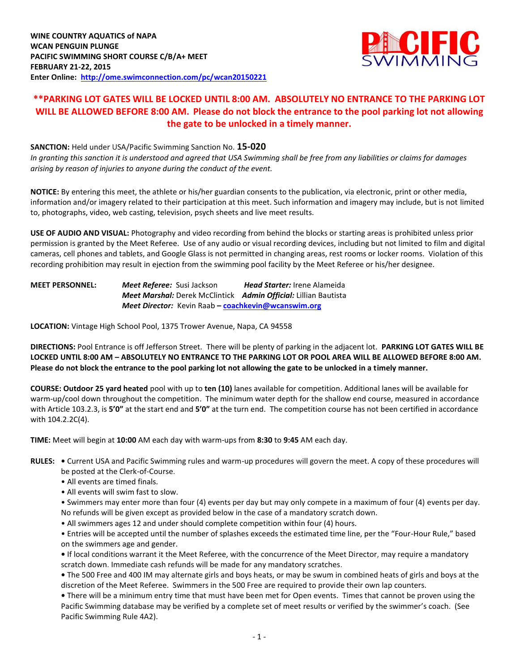

## **\*\*PARKING LOT GATES WILL BE LOCKED UNTIL 8:00 AM. ABSOLUTELY NO ENTRANCE TO THE PARKING LOT WILL BE ALLOWED BEFORE 8:00 AM. Please do not block the entrance to the pool parking lot not allowing the gate to be unlocked in a timely manner.**

**SANCTION:** Held under USA/Pacific Swimming Sanction No. **15-020** *In granting this sanction it is understood and agreed that USA Swimming shall be free from any liabilities or claims for damages arising by reason of injuries to anyone during the conduct of the event.*

**NOTICE:** By entering this meet, the athlete or his/her guardian consents to the publication, via electronic, print or other media, information and/or imagery related to their participation at this meet. Such information and imagery may include, but is not limited to, photographs, video, web casting, television, psych sheets and live meet results.

**USE OF AUDIO AND VISUAL:** Photography and video recording from behind the blocks or starting areas is prohibited unless prior permission is granted by the Meet Referee. Use of any audio or visual recording devices, including but not limited to film and digital cameras, cell phones and tablets, and Google Glass is not permitted in changing areas, rest rooms or locker rooms. Violation of this recording prohibition may result in ejection from the swimming pool facility by the Meet Referee or his/her designee.

**MEET PERSONNEL:** *Meet Referee:* Susi Jackson *Head Starter:* Irene Alameida *Meet Marshal:* Derek McClintick*Admin Official:* Lillian Bautista *Meet Director:* Kevin Raab **– [coachkevin@wcanswim.org](mailto:coachkevin@wcanswim.org)**

**LOCATION:** Vintage High School Pool, 1375 Trower Avenue, Napa, CA 94558

**DIRECTIONS:** Pool Entrance is off Jefferson Street. There will be plenty of parking in the adjacent lot. **PARKING LOT GATES WILL BE LOCKED UNTIL 8:00 AM – ABSOLUTELY NO ENTRANCE TO THE PARKING LOT OR POOL AREA WILL BE ALLOWED BEFORE 8:00 AM. Please do not block the entrance to the pool parking lot not allowing the gate to be unlocked in a timely manner.**

**COURSE: Outdoor 25 yard heated** pool with up to **ten (10)** lanes available for competition. Additional lanes will be available for warm-up/cool down throughout the competition. The minimum water depth for the shallow end course, measured in accordance with Article 103.2.3, is **5'0"** at the start end and **5'0"** at the turn end. The competition course has not been certified in accordance with 104.2.2C(4).

**TIME:** Meet will begin at **10:00** AM each day with warm-ups from **8:30** to **9:45** AM each day.

**RULES: •** Current USA and Pacific Swimming rules and warm-up procedures will govern the meet. A copy of these procedures will be posted at the Clerk-of-Course.

• All events are timed finals.

• All events will swim fast to slow.

• Swimmers may enter more than four (4) events per day but may only compete in a maximum of four (4) events per day. No refunds will be given except as provided below in the case of a mandatory scratch down.

• All swimmers ages 12 and under should complete competition within four (4) hours.

• Entries will be accepted until the number of splashes exceeds the estimated time line, per the "Four-Hour Rule," based on the swimmers age and gender.

**•** If local conditions warrant it the Meet Referee, with the concurrence of the Meet Director, may require a mandatory scratch down. Immediate cash refunds will be made for any mandatory scratches.

**•** The 500 Free and 400 IM may alternate girls and boys heats, or may be swum in combined heats of girls and boys at the discretion of the Meet Referee. Swimmers in the 500 Free are required to provide their own lap counters.

**•** There will be a minimum entry time that must have been met for Open events. Times that cannot be proven using the Pacific Swimming database may be verified by a complete set of meet results or verified by the swimmer's coach. (See Pacific Swimming Rule 4A2).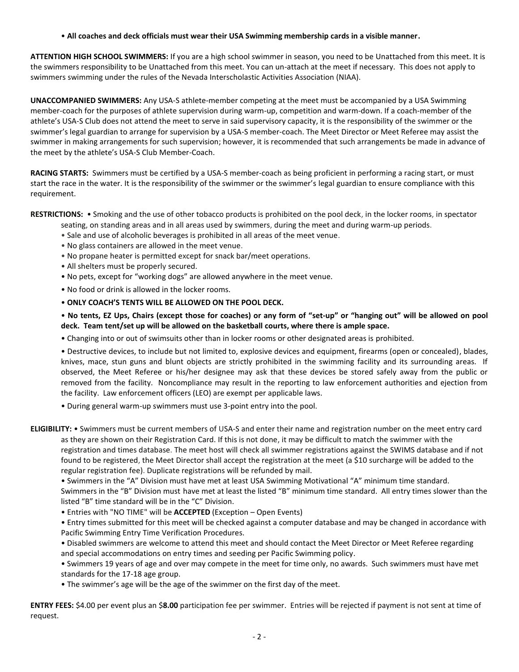## • **All coaches and deck officials must wear their USA Swimming membership cards in a visible manner.**

**ATTENTION HIGH SCHOOL SWIMMERS:** If you are a high school swimmer in season, you need to be Unattached from this meet. It is the swimmers responsibility to be Unattached from this meet. You can un-attach at the meet if necessary. This does not apply to swimmers swimming under the rules of the Nevada Interscholastic Activities Association (NIAA).

**UNACCOMPANIED SWIMMERS:** Any USA-S athlete-member competing at the meet must be accompanied by a USA Swimming member-coach for the purposes of athlete supervision during warm-up, competition and warm-down. If a coach-member of the athlete's USA-S Club does not attend the meet to serve in said supervisory capacity, it is the responsibility of the swimmer or the swimmer's legal guardian to arrange for supervision by a USA-S member-coach. The Meet Director or Meet Referee may assist the swimmer in making arrangements for such supervision; however, it is recommended that such arrangements be made in advance of the meet by the athlete's USA-S Club Member-Coach.

**RACING STARTS:** Swimmers must be certified by a USA-S member-coach as being proficient in performing a racing start, or must start the race in the water. It is the responsibility of the swimmer or the swimmer's legal guardian to ensure compliance with this requirement.

**RESTRICTIONS:** • Smoking and the use of other tobacco products is prohibited on the pool deck, in the locker rooms, in spectator

- seating, on standing areas and in all areas used by swimmers, during the meet and during warm-up periods.
- Sale and use of alcoholic beverages is prohibited in all areas of the meet venue.
- No glass containers are allowed in the meet venue.
- No propane heater is permitted except for snack bar/meet operations.
- All shelters must be properly secured.
- No pets, except for "working dogs" are allowed anywhere in the meet venue.
- No food or drink is allowed in the locker rooms.

## • **ONLY COACH'S TENTS WILL BE ALLOWED ON THE POOL DECK.**

• **No tents, EZ Ups, Chairs (except those for coaches) or any form of "set-up" or "hanging out" will be allowed on pool deck. Team tent/set up will be allowed on the basketball courts, where there is ample space.**

• Changing into or out of swimsuits other than in locker rooms or other designated areas is prohibited.

• Destructive devices, to include but not limited to, explosive devices and equipment, firearms (open or concealed), blades, knives, mace, stun guns and blunt objects are strictly prohibited in the swimming facility and its surrounding areas. If observed, the Meet Referee or his/her designee may ask that these devices be stored safely away from the public or removed from the facility. Noncompliance may result in the reporting to law enforcement authorities and ejection from the facility. Law enforcement officers (LEO) are exempt per applicable laws.

• During general warm-up swimmers must use 3-point entry into the pool.

**ELIGIBILITY:** • Swimmers must be current members of USA-S and enter their name and registration number on the meet entry card as they are shown on their Registration Card. If this is not done, it may be difficult to match the swimmer with the registration and times database. The meet host will check all swimmer registrations against the SWIMS database and if not found to be registered, the Meet Director shall accept the registration at the meet (a \$10 surcharge will be added to the regular registration fee). Duplicate registrations will be refunded by mail.

• Swimmers in the "A" Division must have met at least USA Swimming Motivational "A" minimum time standard.

Swimmers in the "B" Division must have met at least the listed "B" minimum time standard. All entry times slower than the listed "B" time standard will be in the "C" Division.

• Entries with "NO TIME" will be **ACCEPTED** (Exception – Open Events)

• Entry times submitted for this meet will be checked against a computer database and may be changed in accordance with Pacific Swimming Entry Time Verification Procedures.

• Disabled swimmers are welcome to attend this meet and should contact the Meet Director or Meet Referee regarding and special accommodations on entry times and seeding per Pacific Swimming policy.

• Swimmers 19 years of age and over may compete in the meet for time only, no awards. Such swimmers must have met standards for the 17-18 age group.

• The swimmer's age will be the age of the swimmer on the first day of the meet.

**ENTRY FEES:** \$4.00 per event plus an \$**8.00** participation fee per swimmer. Entries will be rejected if payment is not sent at time of request.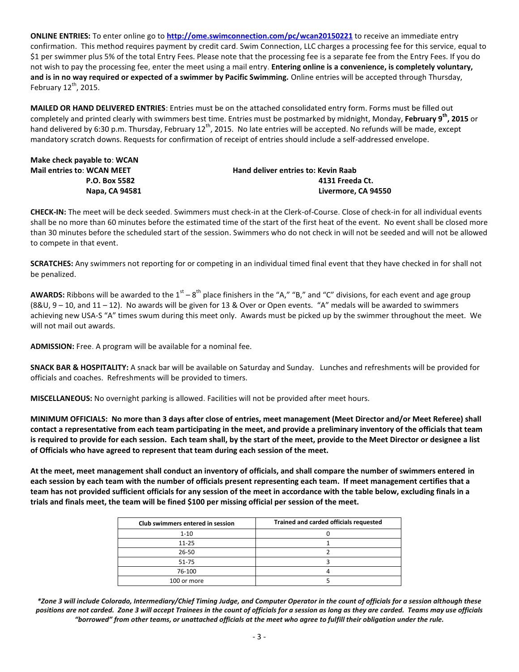**ONLINE ENTRIES:** To enter online go to **<http://ome.swimconnection.com/pc/wcan20150221>** to receive an immediate entry confirmation. This method requires payment by credit card. Swim Connection, LLC charges a processing fee for this service, equal to \$1 per swimmer plus 5% of the total Entry Fees. Please note that the processing fee is a separate fee from the Entry Fees. If you do not wish to pay the processing fee, enter the meet using a mail entry. **Entering online is a convenience, is completely voluntary, and is in no way required or expected of a swimmer by Pacific Swimming.** Online entries will be accepted through Thursday, February  $12^{th}$ , 2015.

**MAILED OR HAND DELIVERED ENTRIES**: Entries must be on the attached consolidated entry form. Forms must be filled out completely and printed clearly with swimmers best time. Entries must be postmarked by midnight, Monday, **February 9th , 2015** or hand delivered by 6:30 p.m. Thursday, February 12<sup>th</sup>, 2015. No late entries will be accepted. No refunds will be made, except mandatory scratch downs. Requests for confirmation of receipt of entries should include a self-addressed envelope.

| Make check payable to: WCAN       |                                     |  |  |  |  |
|-----------------------------------|-------------------------------------|--|--|--|--|
| <b>Mail entries to: WCAN MEET</b> | Hand deliver entries to: Kevin Raab |  |  |  |  |
| <b>P.O. Box 5582</b>              | 4131 Freeda Ct.                     |  |  |  |  |
| Napa, CA 94581                    | Livermore. CA 94550                 |  |  |  |  |

**CHECK-IN:** The meet will be deck seeded. Swimmers must check-in at the Clerk-of-Course. Close of check-in for all individual events shall be no more than 60 minutes before the estimated time of the start of the first heat of the event. No event shall be closed more than 30 minutes before the scheduled start of the session. Swimmers who do not check in will not be seeded and will not be allowed to compete in that event.

**SCRATCHES:** Any swimmers not reporting for or competing in an individual timed final event that they have checked in for shall not be penalized.

**AWARDS:** Ribbons will be awarded to the  $1^{st} - 8^{th}$  place finishers in the "A," "B," and "C" divisions, for each event and age group  $(88U, 9 - 10,$  and  $11 - 12)$ . No awards will be given for 13 & Over or Open events. "A" medals will be awarded to swimmers achieving new USA-S "A" times swum during this meet only. Awards must be picked up by the swimmer throughout the meet. We will not mail out awards.

**ADMISSION:** Free. A program will be available for a nominal fee.

**SNACK BAR & HOSPITALITY:** A snack bar will be available on Saturday and Sunday. Lunches and refreshments will be provided for officials and coaches. Refreshments will be provided to timers.

**MISCELLANEOUS:** No overnight parking is allowed. Facilities will not be provided after meet hours.

**MINIMUM OFFICIALS: No more than 3 days after close of entries, meet management (Meet Director and/or Meet Referee) shall contact a representative from each team participating in the meet, and provide a preliminary inventory of the officials that team is required to provide for each session. Each team shall, by the start of the meet, provide to the Meet Director or designee a list of Officials who have agreed to represent that team during each session of the meet.**

**At the meet, meet management shall conduct an inventory of officials, and shall compare the number of swimmers entered in each session by each team with the number of officials present representing each team. If meet management certifies that a team has not provided sufficient officials for any session of the meet in accordance with the table below, excluding finals in a trials and finals meet, the team will be fined \$100 per missing official per session of the meet.**

| Club swimmers entered in session | Trained and carded officials requested |  |  |  |  |  |
|----------------------------------|----------------------------------------|--|--|--|--|--|
| $1 - 10$                         |                                        |  |  |  |  |  |
| $11 - 25$                        |                                        |  |  |  |  |  |
| 26-50                            |                                        |  |  |  |  |  |
| 51-75                            |                                        |  |  |  |  |  |
| 76-100                           |                                        |  |  |  |  |  |
| 100 or more                      |                                        |  |  |  |  |  |

*\*Zone 3 will include Colorado, Intermediary/Chief Timing Judge, and Computer Operator in the count of officials for a session although these positions are not carded. Zone 3 will accept Trainees in the count of officials for a session as long as they are carded. Teams may use officials "borrowed" from other teams, or unattached officials at the meet who agree to fulfill their obligation under the rule.*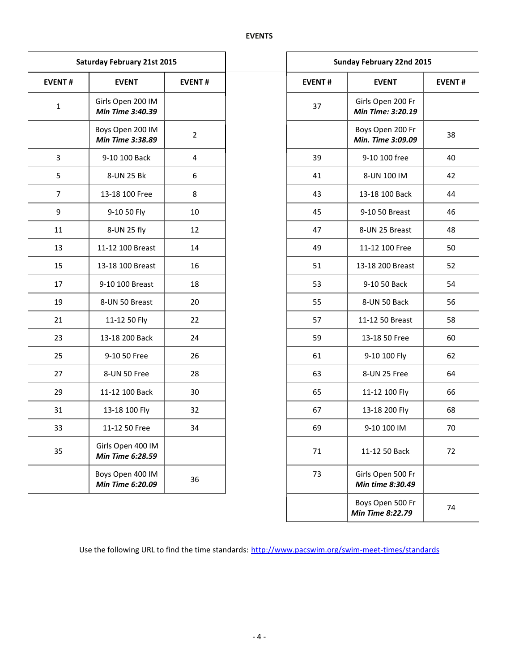|                               | <b>Saturday February 21st 2015</b>    |                |  |               | <b>Sunday February 22nd 2015</b>       |               |  |
|-------------------------------|---------------------------------------|----------------|--|---------------|----------------------------------------|---------------|--|
| <b>EVENT#</b><br>$\mathbf{1}$ | <b>EVENT</b>                          | <b>EVENT#</b>  |  | <b>EVENT#</b> | <b>EVENT</b>                           | <b>EVENT#</b> |  |
|                               | Girls Open 200 IM<br>Min Time 3:40.39 |                |  | 37            | Girls Open 200 Fr<br>Min Time: 3:20.19 |               |  |
|                               | Boys Open 200 IM<br>Min Time 3:38.89  | $\overline{2}$ |  |               | Boys Open 200 Fr<br>Min. Time 3:09.09  |               |  |
| $\overline{3}$                | 9-10 100 Back                         | 4              |  | 39            | 9-10 100 free                          |               |  |
| 5                             | 8-UN 25 Bk                            | 6              |  | 41            | 8-UN 100 IM                            | 42            |  |
| $\overline{7}$                | 13-18 100 Free                        | 8              |  | 43            | 13-18 100 Back                         | 44            |  |
| 9                             | 9-10 50 Fly                           | 10<br>45       |  |               | 9-10 50 Breast                         |               |  |
| 11                            | 8-UN 25 fly                           | 12             |  | 47            | 8-UN 25 Breast                         |               |  |
| 13                            | 11-12 100 Breast                      | 14             |  | 49            | 11-12 100 Free                         |               |  |
| 15                            | 13-18 100 Breast                      | 16             |  | 51            | 13-18 200 Breast                       |               |  |
| 17                            | 9-10 100 Breast                       | 18             |  | 53            | 9-10 50 Back                           |               |  |
| 19                            | 8-UN 50 Breast                        | 20             |  | 55            | 8-UN 50 Back                           |               |  |
| 21                            | 11-12 50 Fly                          | 22             |  | 57            | 11-12 50 Breast                        |               |  |
| 23                            | 13-18 200 Back                        | 24             |  | 59            | 13-18 50 Free                          |               |  |
| 25                            | 9-10 50 Free                          | 26             |  | 61            | 9-10 100 Fly                           |               |  |
| 27                            | 8-UN 50 Free                          | 28             |  | 63            | 8-UN 25 Free                           |               |  |
| 29                            | 11-12 100 Back                        | 30             |  | 65            | 11-12 100 Fly                          |               |  |
| 31                            | 13-18 100 Fly                         | 32             |  | 67            | 13-18 200 Fly                          |               |  |
| 33                            | 11-12 50 Free                         | 34             |  | 69            | 9-10 100 IM                            |               |  |
| 35                            | Girls Open 400 IM<br>Min Time 6:28.59 |                |  | 71            | 11-12 50 Back                          |               |  |
|                               | Boys Open 400 IM<br>Min Time 6:20.09  | 36             |  | 73            | Girls Open 500 Fr<br>Min time 8:30.49  |               |  |

| day February 21st 2015                |                         |               | <b>Sunday February 22nd 2015</b>       |               |  |  |  |  |
|---------------------------------------|-------------------------|---------------|----------------------------------------|---------------|--|--|--|--|
| <b>EVENT</b><br><b>EVENT#</b>         |                         | <b>EVENT#</b> | <b>EVENT</b>                           | <b>EVENT#</b> |  |  |  |  |
| Girls Open 200 IM<br>Min Time 3:40.39 |                         | 37            | Girls Open 200 Fr<br>Min Time: 3:20.19 |               |  |  |  |  |
| Boys Open 200 IM<br>Min Time 3:38.89  | $\overline{2}$          |               | Boys Open 200 Fr<br>Min. Time 3:09.09  | 38            |  |  |  |  |
| 9-10 100 Back                         | $\overline{\mathbf{4}}$ | 39            | 9-10 100 free                          | 40            |  |  |  |  |
| 8-UN 25 Bk                            | 6                       | 41            | 8-UN 100 IM                            | 42            |  |  |  |  |
| 13-18 100 Free                        | 8                       | 43            | 13-18 100 Back                         | 44            |  |  |  |  |
| 9-10 50 Fly                           | 10                      | 45            | 9-10 50 Breast                         | 46            |  |  |  |  |
| 8-UN 25 fly                           | 12                      | 47            | 8-UN 25 Breast                         | 48            |  |  |  |  |
| 11-12 100 Breast                      | 14                      | 49            | 11-12 100 Free                         | 50            |  |  |  |  |
| 13-18 100 Breast                      | 16                      | 51            | 13-18 200 Breast                       | 52            |  |  |  |  |
| 9-10 100 Breast                       | 18                      | 53            | 9-10 50 Back                           | 54            |  |  |  |  |
| 8-UN 50 Breast                        | 20                      | 55            | 8-UN 50 Back                           | 56            |  |  |  |  |
| 11-12 50 Fly                          | 22                      | 57            | 11-12 50 Breast                        | 58            |  |  |  |  |
| 13-18 200 Back                        | 24                      | 59            | 13-18 50 Free                          | 60            |  |  |  |  |
| 9-10 50 Free                          | 26                      | 61            | 9-10 100 Fly                           | 62            |  |  |  |  |
| 8-UN 50 Free                          | 28                      | 63            | 8-UN 25 Free                           | 64            |  |  |  |  |
| 11-12 100 Back                        | 30                      | 65            | 11-12 100 Fly                          | 66            |  |  |  |  |
| 13-18 100 Fly                         | 32                      | 67            | 13-18 200 Fly                          | 68            |  |  |  |  |
| 11-12 50 Free                         | 34                      | 69            | 9-10 100 IM                            | 70            |  |  |  |  |
| Girls Open 400 IM<br>Min Time 6:28.59 |                         | $71\,$        | 11-12 50 Back                          | 72            |  |  |  |  |
| Boys Open 400 IM<br>Min Time 6:20.09  | 36                      | 73            | Girls Open 500 Fr<br>Min time 8:30.49  |               |  |  |  |  |
|                                       |                         |               | Boys Open 500 Fr<br>Min Time 8:22.79   | 74            |  |  |  |  |

Use the following URL to find the time standards: <http://www.pacswim.org/swim-meet-times/standards>